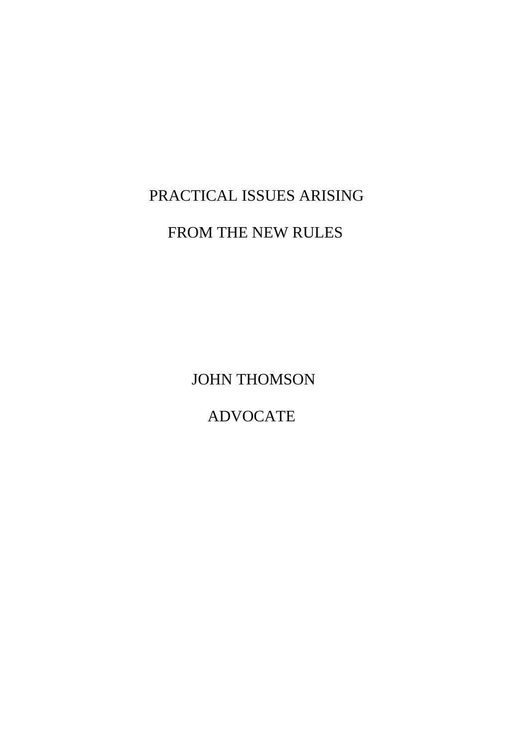# PRACTICAL ISSUES ARISING

## FROM THE NEW RULES

JOHN THOMSON

ADVOCATE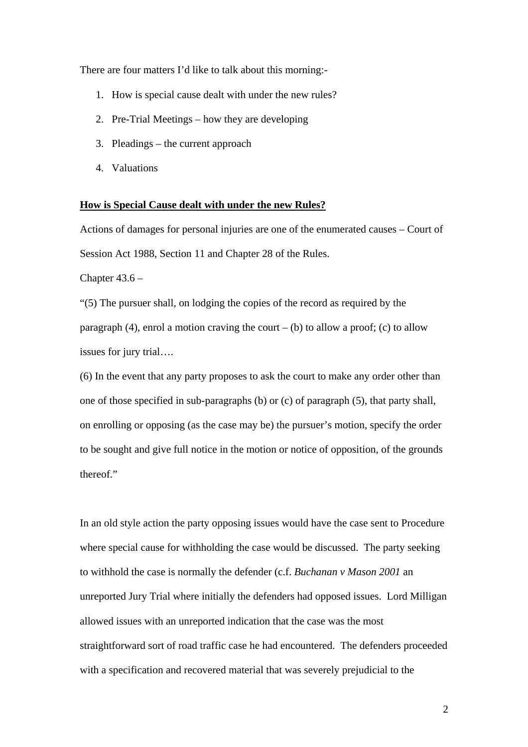There are four matters I'd like to talk about this morning:-

- 1. How is special cause dealt with under the new rules?
- 2. Pre-Trial Meetings how they are developing
- 3. Pleadings the current approach
- 4. Valuations

#### **How is Special Cause dealt with under the new Rules?**

Actions of damages for personal injuries are one of the enumerated causes – Court of Session Act 1988, Section 11 and Chapter 28 of the Rules.

Chapter  $43.6 -$ 

"(5) The pursuer shall, on lodging the copies of the record as required by the paragraph (4), enrol a motion craving the court – (b) to allow a proof; (c) to allow issues for jury trial….

(6) In the event that any party proposes to ask the court to make any order other than one of those specified in sub-paragraphs (b) or (c) of paragraph (5), that party shall, on enrolling or opposing (as the case may be) the pursuer's motion, specify the order to be sought and give full notice in the motion or notice of opposition, of the grounds thereof."

In an old style action the party opposing issues would have the case sent to Procedure where special cause for withholding the case would be discussed. The party seeking to withhold the case is normally the defender (c.f. *Buchanan v Mason 2001* an unreported Jury Trial where initially the defenders had opposed issues. Lord Milligan allowed issues with an unreported indication that the case was the most straightforward sort of road traffic case he had encountered. The defenders proceeded with a specification and recovered material that was severely prejudicial to the

2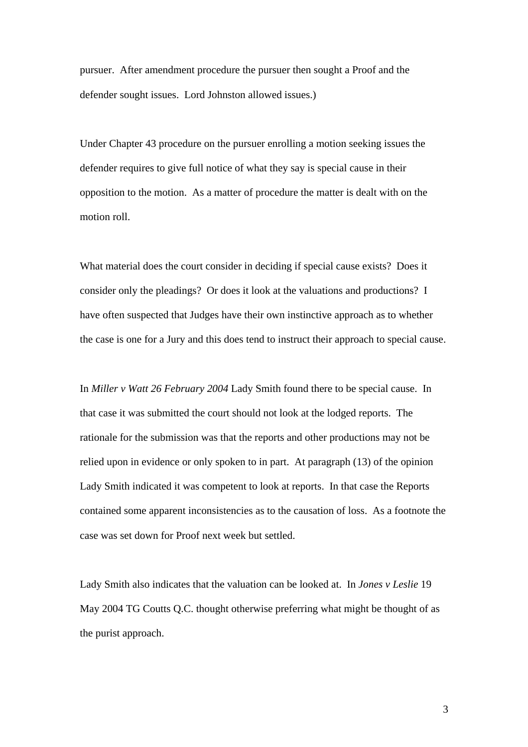pursuer. After amendment procedure the pursuer then sought a Proof and the defender sought issues. Lord Johnston allowed issues.)

Under Chapter 43 procedure on the pursuer enrolling a motion seeking issues the defender requires to give full notice of what they say is special cause in their opposition to the motion. As a matter of procedure the matter is dealt with on the motion roll.

What material does the court consider in deciding if special cause exists? Does it consider only the pleadings? Or does it look at the valuations and productions? I have often suspected that Judges have their own instinctive approach as to whether the case is one for a Jury and this does tend to instruct their approach to special cause.

In *Miller v Watt 26 February 2004* Lady Smith found there to be special cause. In that case it was submitted the court should not look at the lodged reports. The rationale for the submission was that the reports and other productions may not be relied upon in evidence or only spoken to in part. At paragraph (13) of the opinion Lady Smith indicated it was competent to look at reports. In that case the Reports contained some apparent inconsistencies as to the causation of loss. As a footnote the case was set down for Proof next week but settled.

Lady Smith also indicates that the valuation can be looked at. In *Jones v Leslie* 19 May 2004 TG Coutts Q.C. thought otherwise preferring what might be thought of as the purist approach.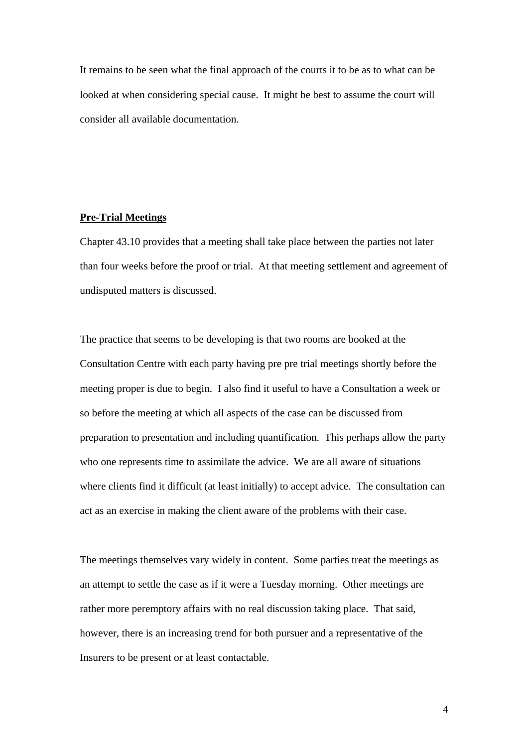It remains to be seen what the final approach of the courts it to be as to what can be looked at when considering special cause. It might be best to assume the court will consider all available documentation.

#### **Pre-Trial Meetings**

Chapter 43.10 provides that a meeting shall take place between the parties not later than four weeks before the proof or trial. At that meeting settlement and agreement of undisputed matters is discussed.

The practice that seems to be developing is that two rooms are booked at the Consultation Centre with each party having pre pre trial meetings shortly before the meeting proper is due to begin. I also find it useful to have a Consultation a week or so before the meeting at which all aspects of the case can be discussed from preparation to presentation and including quantification. This perhaps allow the party who one represents time to assimilate the advice. We are all aware of situations where clients find it difficult (at least initially) to accept advice. The consultation can act as an exercise in making the client aware of the problems with their case.

The meetings themselves vary widely in content. Some parties treat the meetings as an attempt to settle the case as if it were a Tuesday morning. Other meetings are rather more peremptory affairs with no real discussion taking place. That said, however, there is an increasing trend for both pursuer and a representative of the Insurers to be present or at least contactable.

4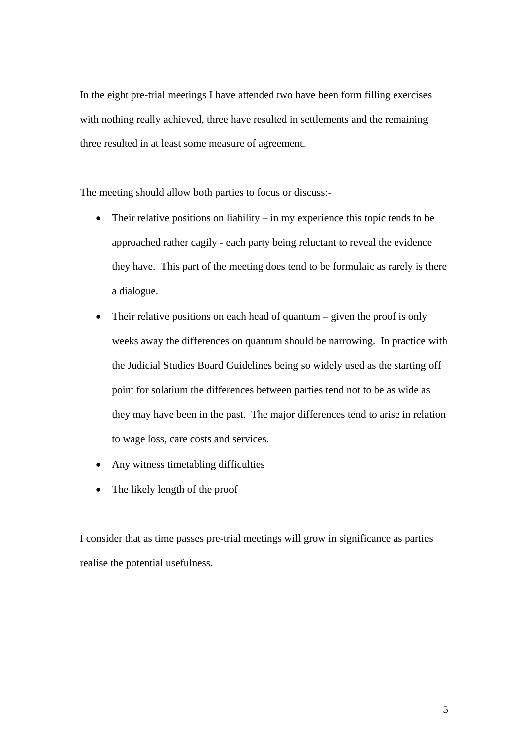In the eight pre-trial meetings I have attended two have been form filling exercises with nothing really achieved, three have resulted in settlements and the remaining three resulted in at least some measure of agreement.

The meeting should allow both parties to focus or discuss:-

- Their relative positions on liability in my experience this topic tends to be approached rather cagily - each party being reluctant to reveal the evidence they have. This part of the meeting does tend to be formulaic as rarely is there a dialogue.
- Their relative positions on each head of quantum given the proof is only weeks away the differences on quantum should be narrowing. In practice with the Judicial Studies Board Guidelines being so widely used as the starting off point for solatium the differences between parties tend not to be as wide as they may have been in the past. The major differences tend to arise in relation to wage loss, care costs and services.
- Any witness timetabling difficulties
- The likely length of the proof

I consider that as time passes pre-trial meetings will grow in significance as parties realise the potential usefulness.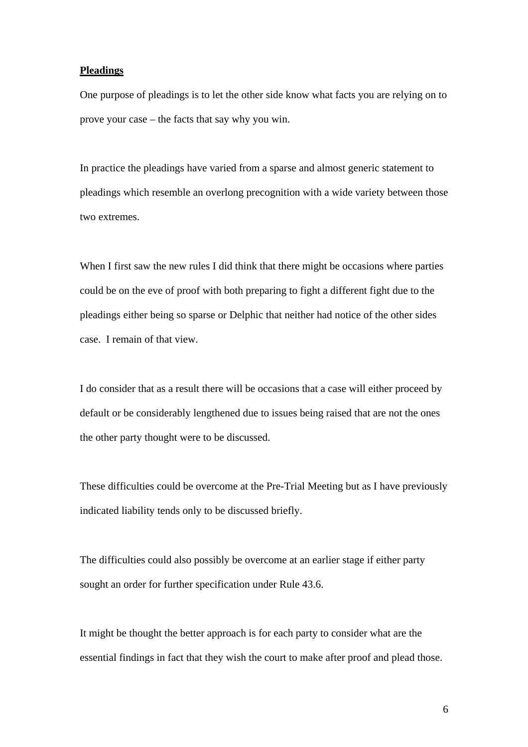### **Pleadings**

One purpose of pleadings is to let the other side know what facts you are relying on to prove your case – the facts that say why you win.

In practice the pleadings have varied from a sparse and almost generic statement to pleadings which resemble an overlong precognition with a wide variety between those two extremes.

When I first saw the new rules I did think that there might be occasions where parties could be on the eve of proof with both preparing to fight a different fight due to the pleadings either being so sparse or Delphic that neither had notice of the other sides case. I remain of that view.

I do consider that as a result there will be occasions that a case will either proceed by default or be considerably lengthened due to issues being raised that are not the ones the other party thought were to be discussed.

These difficulties could be overcome at the Pre-Trial Meeting but as I have previously indicated liability tends only to be discussed briefly.

The difficulties could also possibly be overcome at an earlier stage if either party sought an order for further specification under Rule 43.6.

It might be thought the better approach is for each party to consider what are the essential findings in fact that they wish the court to make after proof and plead those.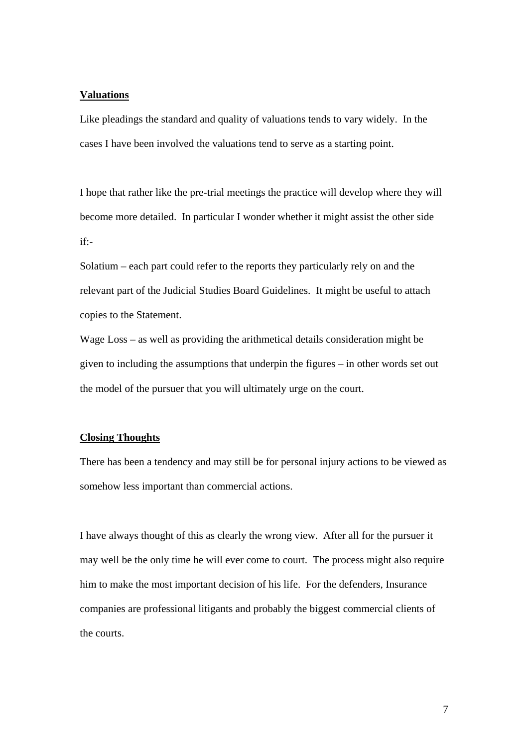#### **Valuations**

Like pleadings the standard and quality of valuations tends to vary widely. In the cases I have been involved the valuations tend to serve as a starting point.

I hope that rather like the pre-trial meetings the practice will develop where they will become more detailed. In particular I wonder whether it might assist the other side if:-

Solatium – each part could refer to the reports they particularly rely on and the relevant part of the Judicial Studies Board Guidelines. It might be useful to attach copies to the Statement.

Wage Loss – as well as providing the arithmetical details consideration might be given to including the assumptions that underpin the figures – in other words set out the model of the pursuer that you will ultimately urge on the court.

#### **Closing Thoughts**

There has been a tendency and may still be for personal injury actions to be viewed as somehow less important than commercial actions.

I have always thought of this as clearly the wrong view. After all for the pursuer it may well be the only time he will ever come to court. The process might also require him to make the most important decision of his life. For the defenders, Insurance companies are professional litigants and probably the biggest commercial clients of the courts.